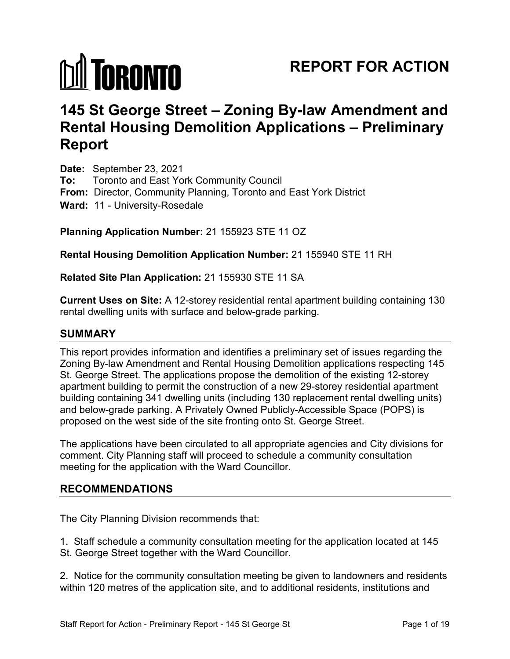# **MI TORONTO**

# **REPORT FOR ACTION**

# **145 St George Street – Zoning By-law Amendment and Rental Housing Demolition Applications – Preliminary Report**

**Date:** September 23, 2021 **To:** Toronto and East York Community Council **From:** Director, Community Planning, Toronto and East York District **Ward:** 11 - University-Rosedale

#### **Planning Application Number:** 21 155923 STE 11 OZ

# **Rental Housing Demolition Application Number:** 21 155940 STE 11 RH

#### **Related Site Plan Application:** 21 155930 STE 11 SA

**Current Uses on Site:** A 12-storey residential rental apartment building containing 130 rental dwelling units with surface and below-grade parking.

#### **SUMMARY**

This report provides information and identifies a preliminary set of issues regarding the Zoning By-law Amendment and Rental Housing Demolition applications respecting 145 St. George Street. The applications propose the demolition of the existing 12-storey apartment building to permit the construction of a new 29-storey residential apartment building containing 341 dwelling units (including 130 replacement rental dwelling units) and below-grade parking. A Privately Owned Publicly-Accessible Space (POPS) is proposed on the west side of the site fronting onto St. George Street.

The applications have been circulated to all appropriate agencies and City divisions for comment. City Planning staff will proceed to schedule a community consultation meeting for the application with the Ward Councillor.

#### **RECOMMENDATIONS**

The City Planning Division recommends that:

1. Staff schedule a community consultation meeting for the application located at 145 St. George Street together with the Ward Councillor.

2. Notice for the community consultation meeting be given to landowners and residents within 120 metres of the application site, and to additional residents, institutions and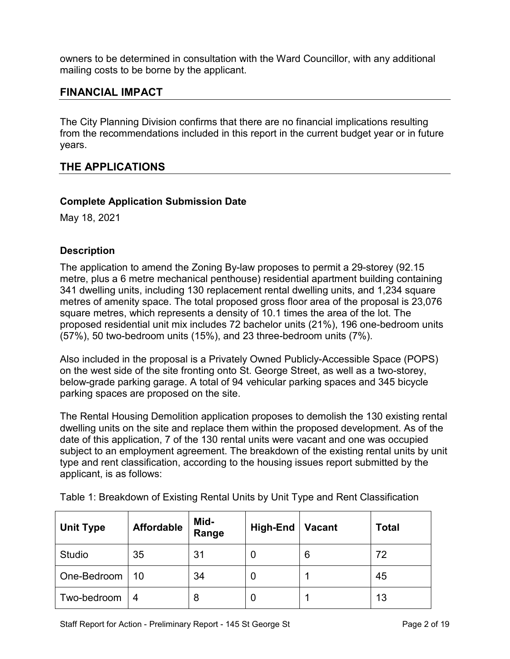owners to be determined in consultation with the Ward Councillor, with any additional mailing costs to be borne by the applicant.

# **FINANCIAL IMPACT**

The City Planning Division confirms that there are no financial implications resulting from the recommendations included in this report in the current budget year or in future years.

# **THE APPLICATIONS**

#### **Complete Application Submission Date**

May 18, 2021

#### **Description**

The application to amend the Zoning By-law proposes to permit a 29-storey (92.15 metre, plus a 6 metre mechanical penthouse) residential apartment building containing 341 dwelling units, including 130 replacement rental dwelling units, and 1,234 square metres of amenity space. The total proposed gross floor area of the proposal is 23,076 square metres, which represents a density of 10.1 times the area of the lot. The proposed residential unit mix includes 72 bachelor units (21%), 196 one-bedroom units (57%), 50 two-bedroom units (15%), and 23 three-bedroom units (7%).

Also included in the proposal is a Privately Owned Publicly-Accessible Space (POPS) on the west side of the site fronting onto St. George Street, as well as a two-storey, below-grade parking garage. A total of 94 vehicular parking spaces and 345 bicycle parking spaces are proposed on the site.

The Rental Housing Demolition application proposes to demolish the 130 existing rental dwelling units on the site and replace them within the proposed development. As of the date of this application, 7 of the 130 rental units were vacant and one was occupied subject to an employment agreement. The breakdown of the existing rental units by unit type and rent classification, according to the housing issues report submitted by the applicant, is as follows:

| <b>Unit Type</b> | <b>Affordable</b> | Mid-<br>Range | <b>High-End</b> | <b>Vacant</b> | <b>Total</b> |
|------------------|-------------------|---------------|-----------------|---------------|--------------|
| <b>Studio</b>    | 35                | 31            | U               | 6             | 72           |
| One-Bedroom      | 10                | 34            | U               |               | 45           |
| Two-bedroom      | 4                 | 8             | U               |               | 13           |

Table 1: Breakdown of Existing Rental Units by Unit Type and Rent Classification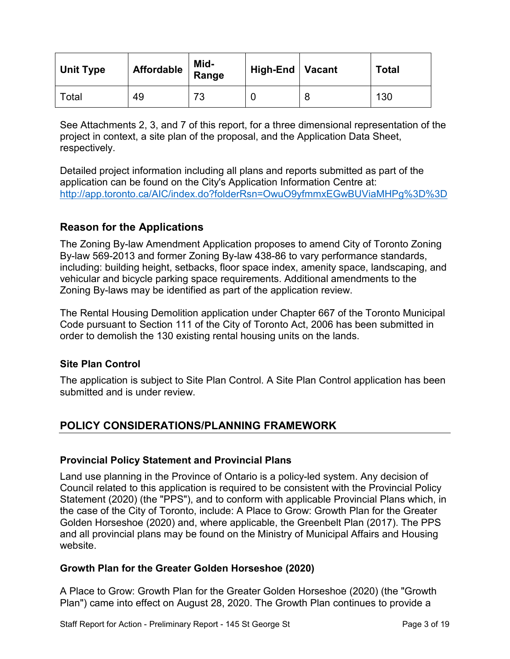| <b>Unit Type</b> | Affordable | Mid-<br>Range | High-End   Vacant | <b>Total</b> |
|------------------|------------|---------------|-------------------|--------------|
| Total            | 49         | 73            |                   | 130          |

See Attachments 2, 3, and 7 of this report, for a three dimensional representation of the project in context, a site plan of the proposal, and the Application Data Sheet, respectively.

Detailed project information including all plans and reports submitted as part of the application can be found on the City's Application Information Centre at: <http://app.toronto.ca/AIC/index.do?folderRsn=OwuO9yfmmxEGwBUViaMHPg%3D%3D>

# **Reason for the Applications**

The Zoning By-law Amendment Application proposes to amend City of Toronto Zoning By-law 569-2013 and former Zoning By-law 438-86 to vary performance standards, including: building height, setbacks, floor space index, amenity space, landscaping, and vehicular and bicycle parking space requirements. Additional amendments to the Zoning By-laws may be identified as part of the application review.

The Rental Housing Demolition application under Chapter 667 of the Toronto Municipal Code pursuant to Section 111 of the City of Toronto Act, 2006 has been submitted in order to demolish the 130 existing rental housing units on the lands.

#### **Site Plan Control**

The application is subject to Site Plan Control. A Site Plan Control application has been submitted and is under review.

# **POLICY CONSIDERATIONS/PLANNING FRAMEWORK**

#### **Provincial Policy Statement and Provincial Plans**

Land use planning in the Province of Ontario is a policy-led system. Any decision of Council related to this application is required to be consistent with the Provincial Policy Statement (2020) (the "PPS"), and to conform with applicable Provincial Plans which, in the case of the City of Toronto, include: A Place to Grow: Growth Plan for the Greater Golden Horseshoe (2020) and, where applicable, the Greenbelt Plan (2017). The PPS and all provincial plans may be found on the Ministry of Municipal Affairs and Housing website.

#### **Growth Plan for the Greater Golden Horseshoe (2020)**

A Place to Grow: Growth Plan for the Greater Golden Horseshoe (2020) (the "Growth Plan") came into effect on August 28, 2020. The Growth Plan continues to provide a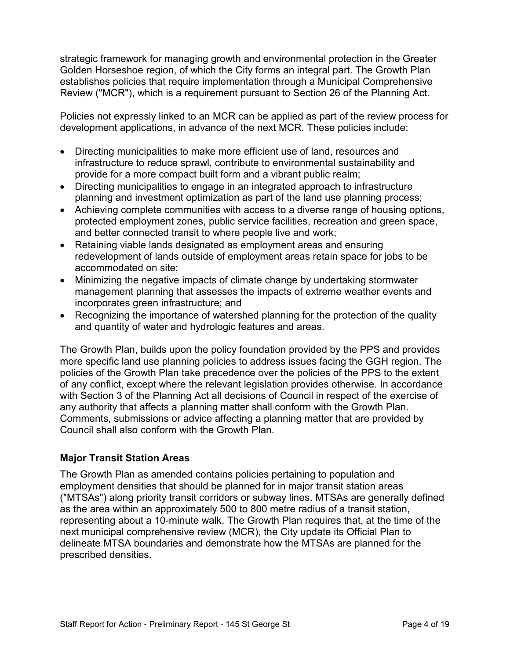strategic framework for managing growth and environmental protection in the Greater Golden Horseshoe region, of which the City forms an integral part. The Growth Plan establishes policies that require implementation through a Municipal Comprehensive Review ("MCR"), which is a requirement pursuant to Section 26 of the Planning Act.

Policies not expressly linked to an MCR can be applied as part of the review process for development applications, in advance of the next MCR. These policies include:

- Directing municipalities to make more efficient use of land, resources and infrastructure to reduce sprawl, contribute to environmental sustainability and provide for a more compact built form and a vibrant public realm;
- Directing municipalities to engage in an integrated approach to infrastructure planning and investment optimization as part of the land use planning process;
- Achieving complete communities with access to a diverse range of housing options, protected employment zones, public service facilities, recreation and green space, and better connected transit to where people live and work;
- Retaining viable lands designated as employment areas and ensuring redevelopment of lands outside of employment areas retain space for jobs to be accommodated on site;
- Minimizing the negative impacts of climate change by undertaking stormwater management planning that assesses the impacts of extreme weather events and incorporates green infrastructure; and
- Recognizing the importance of watershed planning for the protection of the quality and quantity of water and hydrologic features and areas.

The Growth Plan, builds upon the policy foundation provided by the PPS and provides more specific land use planning policies to address issues facing the GGH region. The policies of the Growth Plan take precedence over the policies of the PPS to the extent of any conflict, except where the relevant legislation provides otherwise. In accordance with Section 3 of the Planning Act all decisions of Council in respect of the exercise of any authority that affects a planning matter shall conform with the Growth Plan. Comments, submissions or advice affecting a planning matter that are provided by Council shall also conform with the Growth Plan.

#### **Major Transit Station Areas**

The Growth Plan as amended contains policies pertaining to population and employment densities that should be planned for in major transit station areas ("MTSAs") along priority transit corridors or subway lines. MTSAs are generally defined as the area within an approximately 500 to 800 metre radius of a transit station, representing about a 10-minute walk. The Growth Plan requires that, at the time of the next municipal comprehensive review (MCR), the City update its Official Plan to delineate MTSA boundaries and demonstrate how the MTSAs are planned for the prescribed densities.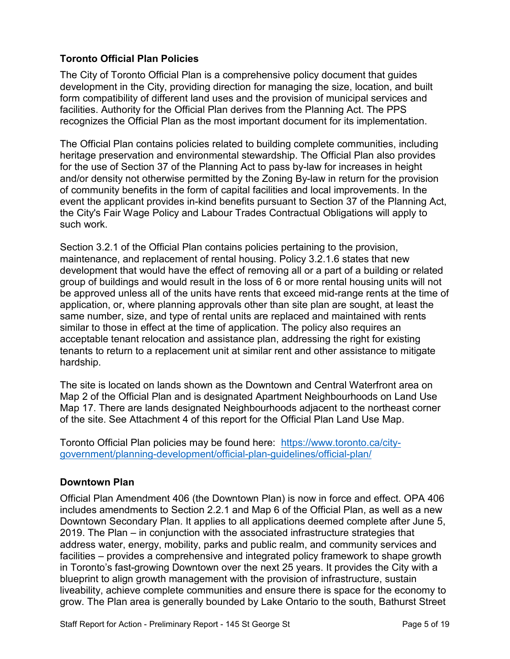#### **Toronto Official Plan Policies**

The City of Toronto Official Plan is a comprehensive policy document that guides development in the City, providing direction for managing the size, location, and built form compatibility of different land uses and the provision of municipal services and facilities. Authority for the Official Plan derives from the Planning Act. The PPS recognizes the Official Plan as the most important document for its implementation.

The Official Plan contains policies related to building complete communities, including heritage preservation and environmental stewardship. The Official Plan also provides for the use of Section 37 of the Planning Act to pass by-law for increases in height and/or density not otherwise permitted by the Zoning By-law in return for the provision of community benefits in the form of capital facilities and local improvements. In the event the applicant provides in-kind benefits pursuant to Section 37 of the Planning Act, the City's Fair Wage Policy and Labour Trades Contractual Obligations will apply to such work.

Section 3.2.1 of the Official Plan contains policies pertaining to the provision, maintenance, and replacement of rental housing. Policy 3.2.1.6 states that new development that would have the effect of removing all or a part of a building or related group of buildings and would result in the loss of 6 or more rental housing units will not be approved unless all of the units have rents that exceed mid-range rents at the time of application, or, where planning approvals other than site plan are sought, at least the same number, size, and type of rental units are replaced and maintained with rents similar to those in effect at the time of application. The policy also requires an acceptable tenant relocation and assistance plan, addressing the right for existing tenants to return to a replacement unit at similar rent and other assistance to mitigate hardship.

The site is located on lands shown as the Downtown and Central Waterfront area on Map 2 of the Official Plan and is designated Apartment Neighbourhoods on Land Use Map 17. There are lands designated Neighbourhoods adjacent to the northeast corner of the site. See Attachment 4 of this report for the Official Plan Land Use Map.

Toronto Official Plan policies may be found here: [https://www.toronto.ca/city](https://www.toronto.ca/city-government/planning-development/official-plan-guidelines/official-plan/)[government/planning-development/official-plan-guidelines/official-plan/](https://www.toronto.ca/city-government/planning-development/official-plan-guidelines/official-plan/)

#### **Downtown Plan**

Official Plan Amendment 406 (the Downtown Plan) is now in force and effect. OPA 406 includes amendments to Section 2.2.1 and Map 6 of the Official Plan, as well as a new Downtown Secondary Plan. It applies to all applications deemed complete after June 5, 2019. The Plan – in conjunction with the associated infrastructure strategies that address water, energy, mobility, parks and public realm, and community services and facilities – provides a comprehensive and integrated policy framework to shape growth in Toronto's fast-growing Downtown over the next 25 years. It provides the City with a blueprint to align growth management with the provision of infrastructure, sustain liveability, achieve complete communities and ensure there is space for the economy to grow. The Plan area is generally bounded by Lake Ontario to the south, Bathurst Street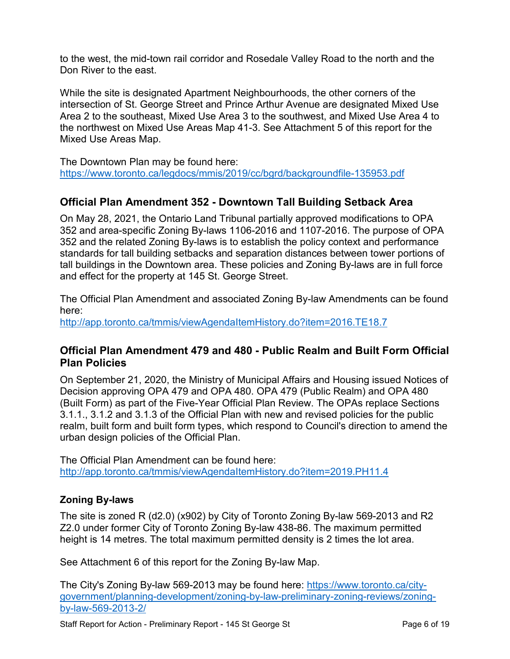to the west, the mid-town rail corridor and Rosedale Valley Road to the north and the Don River to the east.

While the site is designated Apartment Neighbourhoods, the other corners of the intersection of St. George Street and Prince Arthur Avenue are designated Mixed Use Area 2 to the southeast, Mixed Use Area 3 to the southwest, and Mixed Use Area 4 to the northwest on Mixed Use Areas Map 41-3. See Attachment 5 of this report for the Mixed Use Areas Map.

The Downtown Plan may be found here: <https://www.toronto.ca/legdocs/mmis/2019/cc/bgrd/backgroundfile-135953.pdf>

# **Official Plan Amendment 352 - Downtown Tall Building Setback Area**

On May 28, 2021, the Ontario Land Tribunal partially approved modifications to OPA 352 and area-specific Zoning By-laws 1106-2016 and 1107-2016. The purpose of OPA 352 and the related Zoning By-laws is to establish the policy context and performance standards for tall building setbacks and separation distances between tower portions of tall buildings in the Downtown area. These policies and Zoning By-laws are in full force and effect for the property at 145 St. George Street.

The Official Plan Amendment and associated Zoning By-law Amendments can be found here:

http://app.toronto.ca/tmmis/viewAgendaItemHistory.do?item=2016.TE18.7

#### **Official Plan Amendment 479 and 480 - Public Realm and Built Form Official Plan Policies**

On September 21, 2020, the Ministry of Municipal Affairs and Housing issued Notices of Decision approving OPA 479 and OPA 480. OPA 479 (Public Realm) and OPA 480 (Built Form) as part of the Five-Year Official Plan Review. The OPAs replace Sections 3.1.1., 3.1.2 and 3.1.3 of the Official Plan with new and revised policies for the public realm, built form and built form types, which respond to Council's direction to amend the urban design policies of the Official Plan.

The Official Plan Amendment can be found here: <http://app.toronto.ca/tmmis/viewAgendaItemHistory.do?item=2019.PH11.4>

#### **Zoning By-laws**

The site is zoned R (d2.0) (x902) by City of Toronto Zoning By-law 569-2013 and R2 Z2.0 under former City of Toronto Zoning By-law 438-86. The maximum permitted height is 14 metres. The total maximum permitted density is 2 times the lot area.

See Attachment 6 of this report for the Zoning By-law Map.

The City's Zoning By-law 569-2013 may be found here: [https://www.toronto.ca/city](https://www.toronto.ca/city-government/planning-development/zoning-by-law-preliminary-zoning-reviews/zoning-by-law-569-2013-2/)[government/planning-development/zoning-by-law-preliminary-zoning-reviews/zoning](https://www.toronto.ca/city-government/planning-development/zoning-by-law-preliminary-zoning-reviews/zoning-by-law-569-2013-2/)[by-law-569-2013-2/](https://www.toronto.ca/city-government/planning-development/zoning-by-law-preliminary-zoning-reviews/zoning-by-law-569-2013-2/)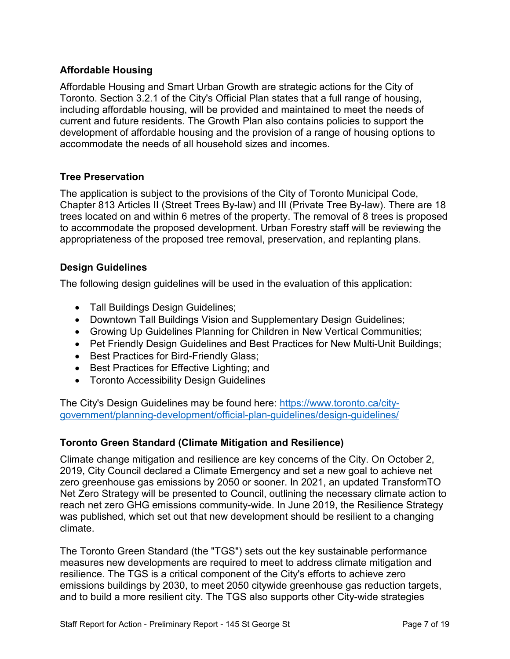#### **Affordable Housing**

Affordable Housing and Smart Urban Growth are strategic actions for the City of Toronto. Section 3.2.1 of the City's Official Plan states that a full range of housing, including affordable housing, will be provided and maintained to meet the needs of current and future residents. The Growth Plan also contains policies to support the development of affordable housing and the provision of a range of housing options to accommodate the needs of all household sizes and incomes.

#### **Tree Preservation**

The application is subject to the provisions of the City of Toronto Municipal Code, Chapter 813 Articles II (Street Trees By-law) and III (Private Tree By-law). There are 18 trees located on and within 6 metres of the property. The removal of 8 trees is proposed to accommodate the proposed development. Urban Forestry staff will be reviewing the appropriateness of the proposed tree removal, preservation, and replanting plans.

#### **Design Guidelines**

The following design guidelines will be used in the evaluation of this application:

- Tall Buildings Design Guidelines;
- Downtown Tall Buildings Vision and Supplementary Design Guidelines;
- Growing Up Guidelines Planning for Children in New Vertical Communities;
- Pet Friendly Design Guidelines and Best Practices for New Multi-Unit Buildings;
- Best Practices for Bird-Friendly Glass;
- Best Practices for Effective Lighting; and
- Toronto Accessibility Design Guidelines

The City's Design Guidelines may be found here: [https://www.toronto.ca/city](https://www.toronto.ca/city-government/planning-development/official-plan-guidelines/design-guidelines/)[government/planning-development/official-plan-guidelines/design-guidelines/](https://www.toronto.ca/city-government/planning-development/official-plan-guidelines/design-guidelines/)

#### **Toronto Green Standard (Climate Mitigation and Resilience)**

Climate change mitigation and resilience are key concerns of the City. On October 2, 2019, City Council declared a Climate Emergency and set a new goal to achieve net zero greenhouse gas emissions by 2050 or sooner. In 2021, an updated TransformTO Net Zero Strategy will be presented to Council, outlining the necessary climate action to reach net zero GHG emissions community-wide. In June 2019, the Resilience Strategy was published, which set out that new development should be resilient to a changing climate.

The Toronto Green Standard (the "TGS") sets out the key sustainable performance measures new developments are required to meet to address climate mitigation and resilience. The TGS is a critical component of the City's efforts to achieve zero emissions buildings by 2030, to meet 2050 citywide greenhouse gas reduction targets, and to build a more resilient city. The TGS also supports other City-wide strategies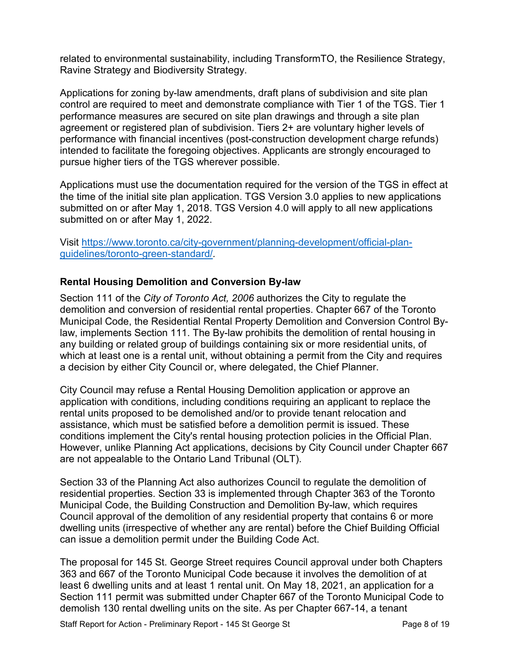related to environmental sustainability, including [TransformTO,](https://www.toronto.ca/services-payments/water-environment/environmentally-friendly-city-initiatives/transformto/transformto-climate-action-strategy/) the [Resilience Strategy,](https://www.toronto.ca/services-payments/water-environment/environmentally-friendly-city-initiatives/resilientto/) [Ravine Strategy](https://www.toronto.ca/city-government/accountability-operations-customer-service/long-term-vision-plans-and-strategies/ravine-strategy/) and [Biodiversity Strategy.](https://www.toronto.ca/explore-enjoy/parks-gardens-beaches/ravines-natural-parklands/biodiversity-in-the-city/)

Applications for zoning by-law amendments, draft plans of subdivision and site plan control are required to meet and demonstrate compliance with Tier 1 of the TGS. Tier 1 performance measures are secured on site plan drawings and through a site plan agreement or registered plan of subdivision. Tiers 2+ are voluntary higher levels of performance with financial incentives (post-construction development charge refunds) intended to facilitate the foregoing objectives. Applicants are strongly encouraged to pursue higher tiers of the TGS wherever possible.

Applications must use the documentation required for the version of the TGS in effect at the time of the initial site plan application. TGS Version 3.0 applies to new applications submitted on or after May 1, 2018. TGS Version 4.0 will apply to all new applications submitted on or after May 1, 2022.

Visit [https://www.toronto.ca/city-government/planning-development/official-plan](https://www.toronto.ca/city-government/planning-development/official-plan-guidelines/toronto-green-standard/)[guidelines/toronto-green-standard/](https://www.toronto.ca/city-government/planning-development/official-plan-guidelines/toronto-green-standard/)*.* 

#### **Rental Housing Demolition and Conversion By-law**

Section 111 of the *City of Toronto Act, 2006* authorizes the City to regulate the demolition and conversion of residential rental properties. Chapter 667 of the Toronto Municipal Code, the Residential Rental Property Demolition and Conversion Control Bylaw, implements Section 111. The By-law prohibits the demolition of rental housing in any building or related group of buildings containing six or more residential units, of which at least one is a rental unit, without obtaining a permit from the City and requires a decision by either City Council or, where delegated, the Chief Planner.

City Council may refuse a Rental Housing Demolition application or approve an application with conditions, including conditions requiring an applicant to replace the rental units proposed to be demolished and/or to provide tenant relocation and assistance, which must be satisfied before a demolition permit is issued. These conditions implement the City's rental housing protection policies in the Official Plan. However, unlike Planning Act applications, decisions by City Council under Chapter 667 are not appealable to the Ontario Land Tribunal (OLT).

Section 33 of the Planning Act also authorizes Council to regulate the demolition of residential properties. Section 33 is implemented through Chapter 363 of the Toronto Municipal Code, the Building Construction and Demolition By-law, which requires Council approval of the demolition of any residential property that contains 6 or more dwelling units (irrespective of whether any are rental) before the Chief Building Official can issue a demolition permit under the Building Code Act.

The proposal for 145 St. George Street requires Council approval under both Chapters 363 and 667 of the Toronto Municipal Code because it involves the demolition of at least 6 dwelling units and at least 1 rental unit. On May 18, 2021, an application for a Section 111 permit was submitted under Chapter 667 of the Toronto Municipal Code to demolish 130 rental dwelling units on the site. As per Chapter 667-14, a tenant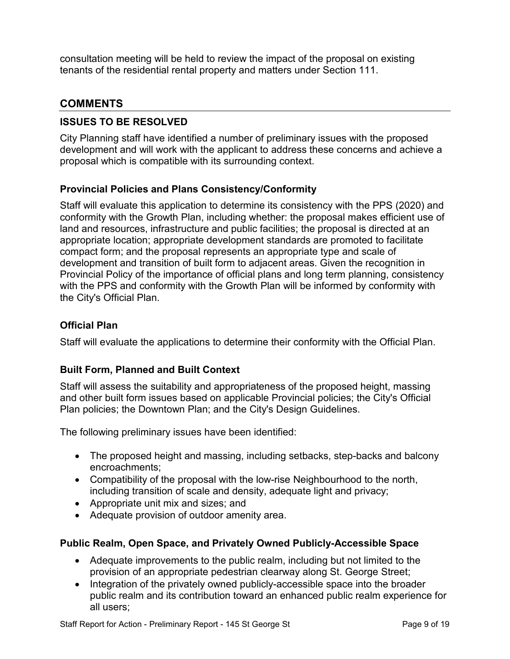consultation meeting will be held to review the impact of the proposal on existing tenants of the residential rental property and matters under Section 111.

# **COMMENTS**

#### **ISSUES TO BE RESOLVED**

City Planning staff have identified a number of preliminary issues with the proposed development and will work with the applicant to address these concerns and achieve a proposal which is compatible with its surrounding context.

#### **Provincial Policies and Plans Consistency/Conformity**

Staff will evaluate this application to determine its consistency with the PPS (2020) and conformity with the Growth Plan, including whether: the proposal makes efficient use of land and resources, infrastructure and public facilities; the proposal is directed at an appropriate location; appropriate development standards are promoted to facilitate compact form; and the proposal represents an appropriate type and scale of development and transition of built form to adjacent areas. Given the recognition in Provincial Policy of the importance of official plans and long term planning, consistency with the PPS and conformity with the Growth Plan will be informed by conformity with the City's Official Plan.

#### **Official Plan**

Staff will evaluate the applications to determine their conformity with the Official Plan.

#### **Built Form, Planned and Built Context**

Staff will assess the suitability and appropriateness of the proposed height, massing and other built form issues based on applicable Provincial policies; the City's Official Plan policies; the Downtown Plan; and the City's Design Guidelines.

The following preliminary issues have been identified:

- The proposed height and massing, including setbacks, step-backs and balcony encroachments;
- Compatibility of the proposal with the low-rise Neighbourhood to the north, including transition of scale and density, adequate light and privacy;
- Appropriate unit mix and sizes; and
- Adequate provision of outdoor amenity area.

#### **Public Realm, Open Space, and Privately Owned Publicly-Accessible Space**

- Adequate improvements to the public realm, including but not limited to the provision of an appropriate pedestrian clearway along St. George Street;
- Integration of the privately owned publicly-accessible space into the broader public realm and its contribution toward an enhanced public realm experience for all users;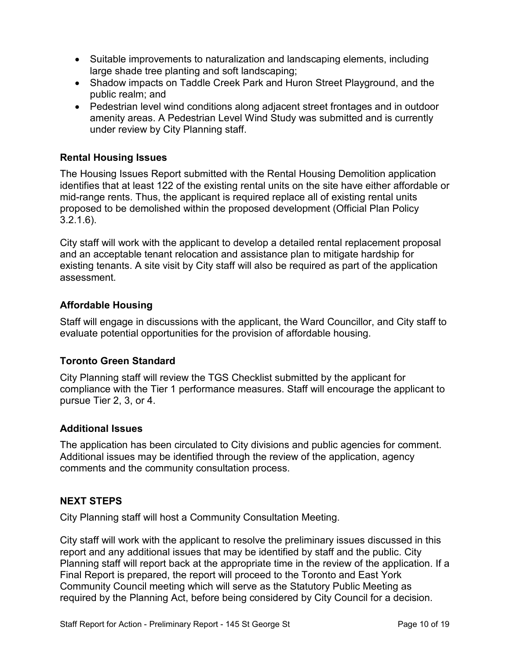- Suitable improvements to naturalization and landscaping elements, including large shade tree planting and soft landscaping;
- Shadow impacts on Taddle Creek Park and Huron Street Playground, and the public realm; and
- Pedestrian level wind conditions along adjacent street frontages and in outdoor amenity areas. A Pedestrian Level Wind Study was submitted and is currently under review by City Planning staff.

#### **Rental Housing Issues**

The Housing Issues Report submitted with the Rental Housing Demolition application identifies that at least 122 of the existing rental units on the site have either affordable or mid-range rents. Thus, the applicant is required replace all of existing rental units proposed to be demolished within the proposed development (Official Plan Policy 3.2.1.6).

City staff will work with the applicant to develop a detailed rental replacement proposal and an acceptable tenant relocation and assistance plan to mitigate hardship for existing tenants. A site visit by City staff will also be required as part of the application assessment.

#### **Affordable Housing**

Staff will engage in discussions with the applicant, the Ward Councillor, and City staff to evaluate potential opportunities for the provision of affordable housing.

#### **Toronto Green Standard**

City Planning staff will review the TGS Checklist submitted by the applicant for compliance with the Tier 1 performance measures. Staff will encourage the applicant to pursue Tier 2, 3, or 4.

#### **Additional Issues**

The application has been circulated to City divisions and public agencies for comment. Additional issues may be identified through the review of the application, agency comments and the community consultation process.

#### **NEXT STEPS**

City Planning staff will host a Community Consultation Meeting.

City staff will work with the applicant to resolve the preliminary issues discussed in this report and any additional issues that may be identified by staff and the public. City Planning staff will report back at the appropriate time in the review of the application. If a Final Report is prepared, the report will proceed to the Toronto and East York Community Council meeting which will serve as the Statutory Public Meeting as required by the Planning Act, before being considered by City Council for a decision.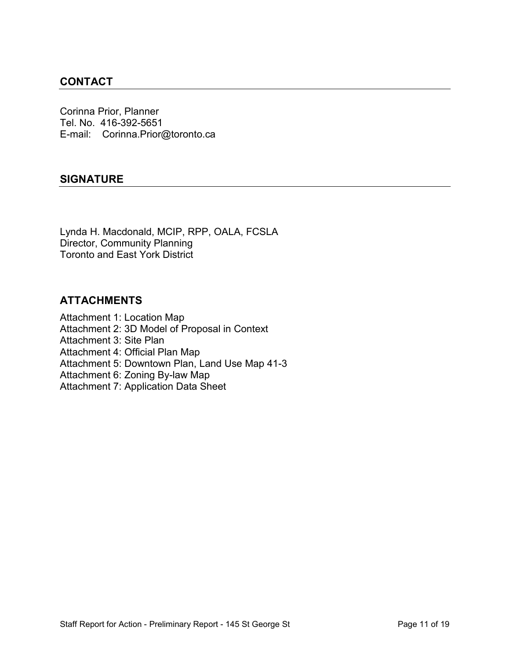# **CONTACT**

Corinna Prior, Planner Tel. No. 416-392-5651 E-mail: Corinna.Prior@toronto.ca

#### **SIGNATURE**

Lynda H. Macdonald, MCIP, RPP, OALA, FCSLA Director, Community Planning Toronto and East York District

#### **ATTACHMENTS**

Attachment 1: Location Map Attachment 2: 3D Model of Proposal in Context Attachment 3: Site Plan Attachment 4: Official Plan Map Attachment 5: Downtown Plan, Land Use Map 41-3 Attachment 6: Zoning By-law Map Attachment 7: Application Data Sheet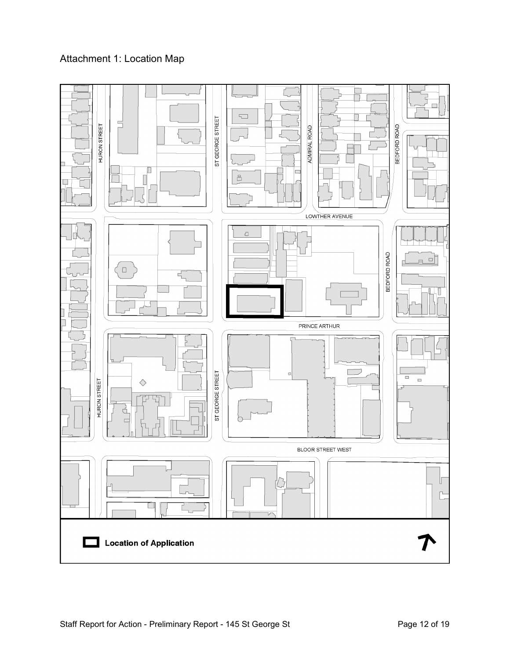# Attachment 1: Location Map

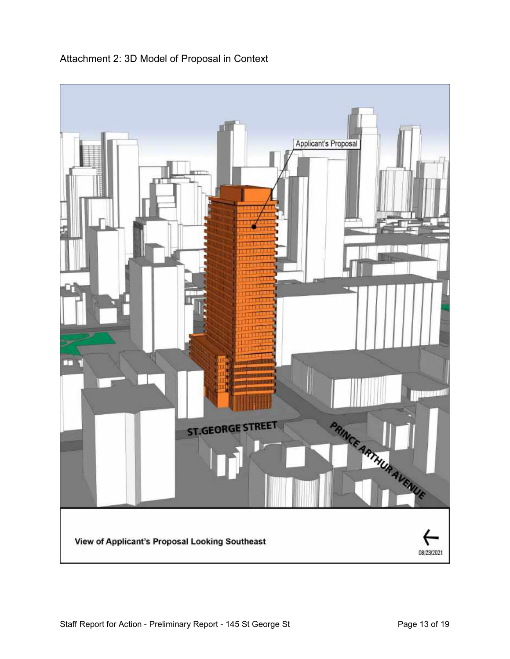

# Attachment 2: 3D Model of Proposal in Context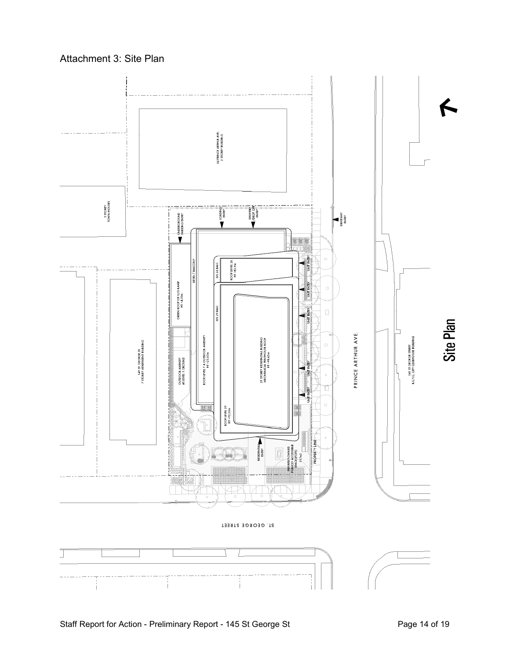

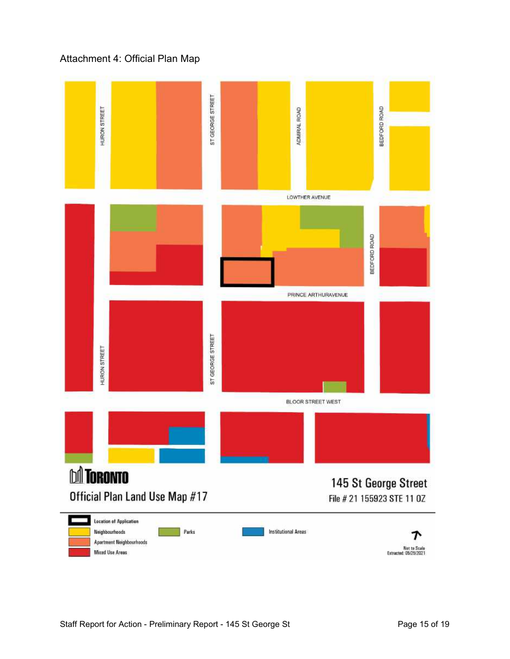# Attachment 4: Official Plan Map

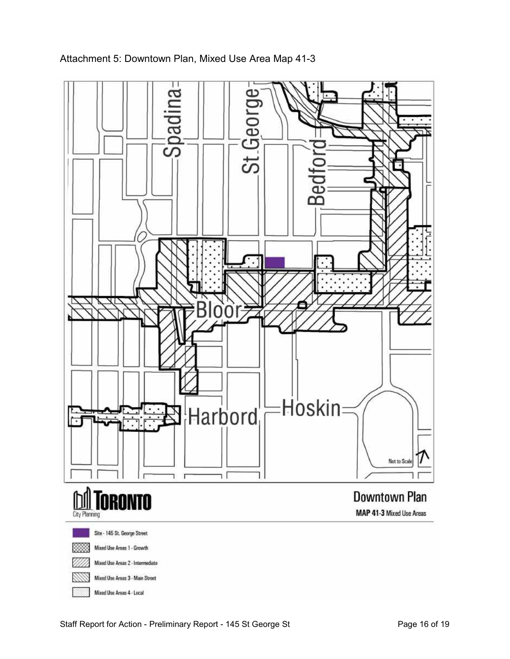

Attachment 5: Downtown Plan, Mixed Use Area Map 41-3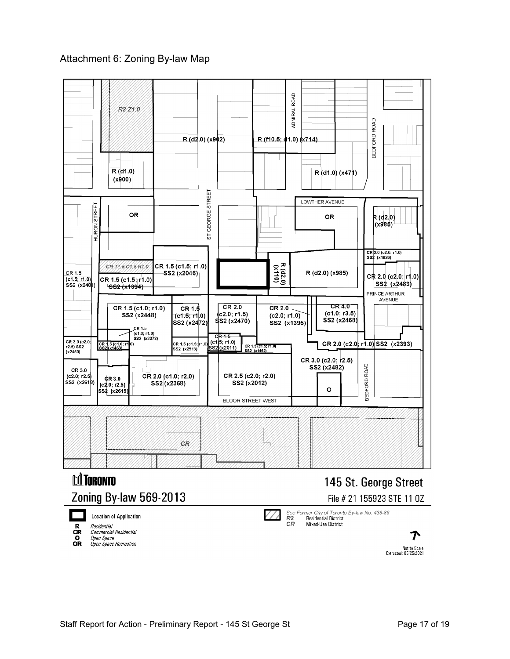#### Attachment 6: Zoning By-law Map

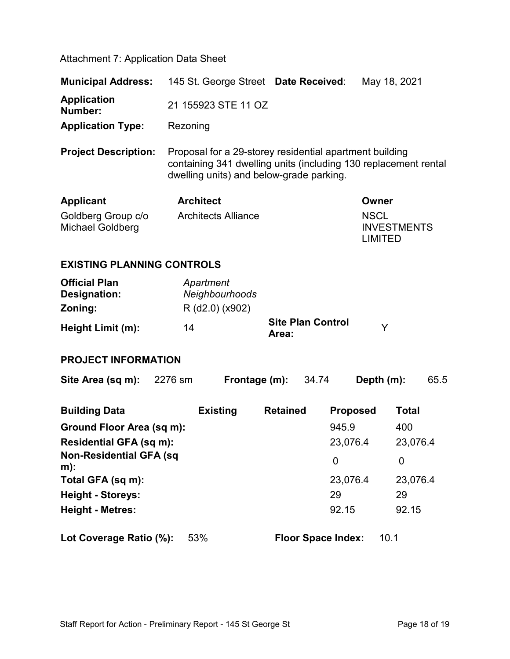Attachment 7: Application Data Sheet

| <b>Municipal Address:</b>              | 145 St. George Street Date Received:                                                                                                                                   |                                   | May 18, 2021                                 |  |  |  |
|----------------------------------------|------------------------------------------------------------------------------------------------------------------------------------------------------------------------|-----------------------------------|----------------------------------------------|--|--|--|
| <b>Application</b><br>Number:          | 21 155923 STE 11 OZ                                                                                                                                                    |                                   |                                              |  |  |  |
| <b>Application Type:</b>               | Rezoning                                                                                                                                                               |                                   |                                              |  |  |  |
| <b>Project Description:</b>            | Proposal for a 29-storey residential apartment building<br>containing 341 dwelling units (including 130 replacement rental<br>dwelling units) and below-grade parking. |                                   |                                              |  |  |  |
| <b>Applicant</b>                       | <b>Architect</b>                                                                                                                                                       |                                   | Owner                                        |  |  |  |
| Goldberg Group c/o<br>Michael Goldberg | <b>Architects Alliance</b>                                                                                                                                             |                                   | <b>NSCL</b><br><b>INVESTMENTS</b><br>LIMITED |  |  |  |
| <b>EXISTING PLANNING CONTROLS</b>      |                                                                                                                                                                        |                                   |                                              |  |  |  |
| <b>Official Plan</b><br>Designation:   | Apartment<br>Neighbourhoods                                                                                                                                            |                                   |                                              |  |  |  |
| Zoning:                                | R (d2.0) (x902)                                                                                                                                                        |                                   |                                              |  |  |  |
| Height Limit (m):                      | 14                                                                                                                                                                     | <b>Site Plan Control</b><br>Area: | Y                                            |  |  |  |

**PROJECT INFORMATION**

| Site Area (sq m):                       | 2276 sm |                 | Frontage (m):   | 34.74                     | Depth (m):      |              | 65.5 |
|-----------------------------------------|---------|-----------------|-----------------|---------------------------|-----------------|--------------|------|
| <b>Building Data</b>                    |         | <b>Existing</b> | <b>Retained</b> |                           | <b>Proposed</b> | <b>Total</b> |      |
| Ground Floor Area (sq m):               |         |                 |                 |                           | 945.9           | 400          |      |
| Residential GFA (sq m):                 |         |                 |                 |                           | 23,076.4        | 23,076.4     |      |
| <b>Non-Residential GFA (sq</b><br>$m$ : |         |                 |                 | 0                         |                 | 0            |      |
| Total GFA (sq m):                       |         |                 |                 |                           | 23,076.4        | 23,076.4     |      |
| <b>Height - Storeys:</b>                |         |                 |                 | 29                        |                 | 29           |      |
| <b>Height - Metres:</b>                 |         |                 |                 |                           | 92.15           | 92.15        |      |
| Lot Coverage Ratio (%):                 |         | 53%             |                 | <b>Floor Space Index:</b> |                 | 10.1         |      |